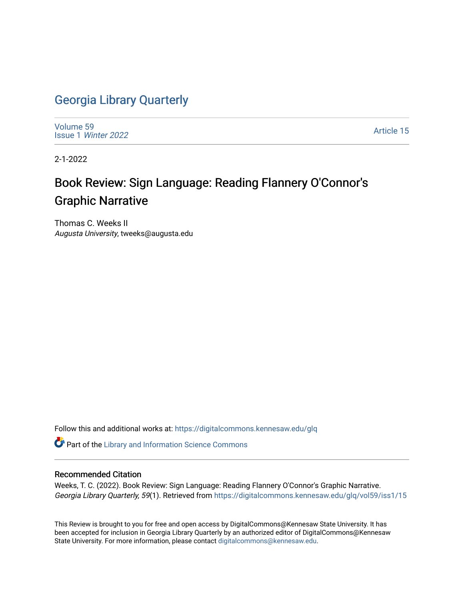## [Georgia Library Quarterly](https://digitalcommons.kennesaw.edu/glq)

[Volume 59](https://digitalcommons.kennesaw.edu/glq/vol59) Issue 1 [Winter 2022](https://digitalcommons.kennesaw.edu/glq/vol59/iss1) 

[Article 15](https://digitalcommons.kennesaw.edu/glq/vol59/iss1/15) 

2-1-2022

## Book Review: Sign Language: Reading Flannery O'Connor's Graphic Narrative

Thomas C. Weeks II Augusta University, tweeks@augusta.edu

Follow this and additional works at: [https://digitalcommons.kennesaw.edu/glq](https://digitalcommons.kennesaw.edu/glq?utm_source=digitalcommons.kennesaw.edu%2Fglq%2Fvol59%2Fiss1%2F15&utm_medium=PDF&utm_campaign=PDFCoverPages) 

Part of the [Library and Information Science Commons](http://network.bepress.com/hgg/discipline/1018?utm_source=digitalcommons.kennesaw.edu%2Fglq%2Fvol59%2Fiss1%2F15&utm_medium=PDF&utm_campaign=PDFCoverPages) 

## Recommended Citation

Weeks, T. C. (2022). Book Review: Sign Language: Reading Flannery O'Connor's Graphic Narrative. Georgia Library Quarterly, 59(1). Retrieved from [https://digitalcommons.kennesaw.edu/glq/vol59/iss1/15](https://digitalcommons.kennesaw.edu/glq/vol59/iss1/15?utm_source=digitalcommons.kennesaw.edu%2Fglq%2Fvol59%2Fiss1%2F15&utm_medium=PDF&utm_campaign=PDFCoverPages) 

This Review is brought to you for free and open access by DigitalCommons@Kennesaw State University. It has been accepted for inclusion in Georgia Library Quarterly by an authorized editor of DigitalCommons@Kennesaw State University. For more information, please contact [digitalcommons@kennesaw.edu.](mailto:digitalcommons@kennesaw.edu)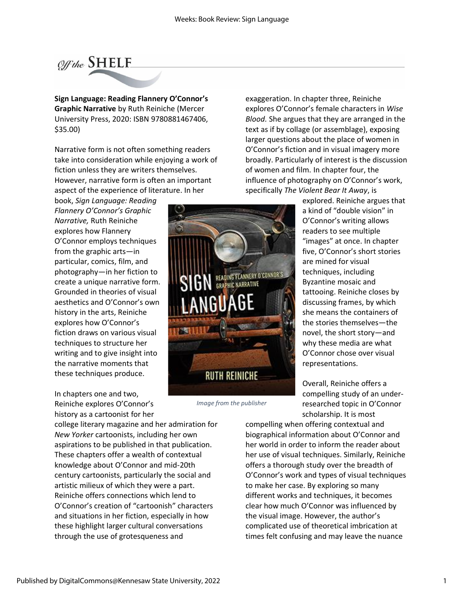

**Sign Language: Reading Flannery O'Connor's Graphic Narrative** by Ruth Reiniche (Mercer University Press, 2020: ISBN 9780881467406, \$35.00)

Narrative form is not often something readers take into consideration while enjoying a work of fiction unless they are writers themselves. However, narrative form is often an important aspect of the experience of literature. In her

book, *Sign Language: Reading Flannery O'Connor's Graphic Narrative,* Ruth Reiniche explores how Flannery O'Connor employs techniques from the graphic arts—in particular, comics, film, and photography—in her fiction to create a unique narrative form. Grounded in theories of visual aesthetics and O'Connor's own history in the arts, Reiniche explores how O'Connor's fiction draws on various visual techniques to structure her writing and to give insight into the narrative moments that these techniques produce.

In chapters one and two, Reiniche explores O'Connor's history as a cartoonist for her

college literary magazine and her admiration for *New Yorker* cartoonists, including her own aspirations to be published in that publication. These chapters offer a wealth of contextual knowledge about O'Connor and mid-20th century cartoonists, particularly the social and artistic milieux of which they were a part. Reiniche offers connections which lend to O'Connor's creation of "cartoonish" characters and situations in her fiction, especially in how these highlight larger cultural conversations through the use of grotesqueness and

exaggeration. In chapter three, Reiniche explores O'Connor's female characters in *Wise Blood.* She argues that they are arranged in the text as if by collage (or assemblage), exposing larger questions about the place of women in O'Connor's fiction and in visual imagery more broadly. Particularly of interest is the discussion of women and film. In chapter four, the influence of photography on O'Connor's work, specifically *The Violent Bear It Away*, is

explored. Reiniche argues that a kind of "double vision" in O'Connor's writing allows readers to see multiple "images" at once. In chapter five, O'Connor's short stories are mined for visual techniques, including Byzantine mosaic and tattooing. Reiniche closes by discussing frames, by which she means the containers of the stories themselves—the novel, the short story—and why these media are what O'Connor chose over visual representations.

Overall, Reiniche offers a compelling study of an underresearched topic in O'Connor scholarship. It is most

compelling when offering contextual and biographical information about O'Connor and her world in order to inform the reader about her use of visual techniques. Similarly, Reiniche offers a thorough study over the breadth of O'Connor's work and types of visual techniques to make her case. By exploring so many different works and techniques, it becomes clear how much O'Connor was influenced by the visual image. However, the author's complicated use of theoretical imbrication at times felt confusing and may leave the nuance



*Image from the publisher*